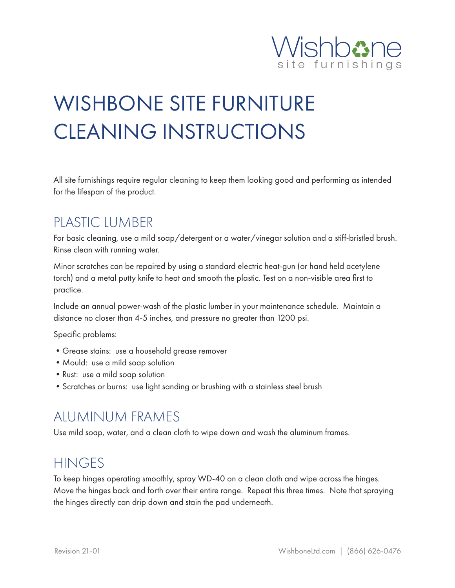

# WISHBONE SITE FURNITURE CLEANING INSTRUCTIONS

All site furnishings require regular cleaning to keep them looking good and performing as intended for the lifespan of the product.

## PLASTIC LUMBER

For basic cleaning, use a mild soap/detergent or a water/vinegar solution and a stiff-bristled brush. Rinse clean with running water.

Minor scratches can be repaired by using a standard electric heat-gun (or hand held acetylene torch) and a metal putty knife to heat and smooth the plastic. Test on a non-visible area first to practice.

Include an annual power-wash of the plastic lumber in your maintenance schedule. Maintain a distance no closer than 4-5 inches, and pressure no greater than 1200 psi.

Specific problems:

- •Grease stains: use a household grease remover
- Mould: use a mild soap solution
- •Rust: use a mild soap solution
- •Scratches or burns: use light sanding or brushing with a stainless steel brush

#### ALUMINUM FRAMES

Use mild soap, water, and a clean cloth to wipe down and wash the aluminum frames.

#### **HINGES**

To keep hinges operating smoothly, spray WD-40 on a clean cloth and wipe across the hinges. Move the hinges back and forth over their entire range. Repeat this three times. Note that spraying the hinges directly can drip down and stain the pad underneath.